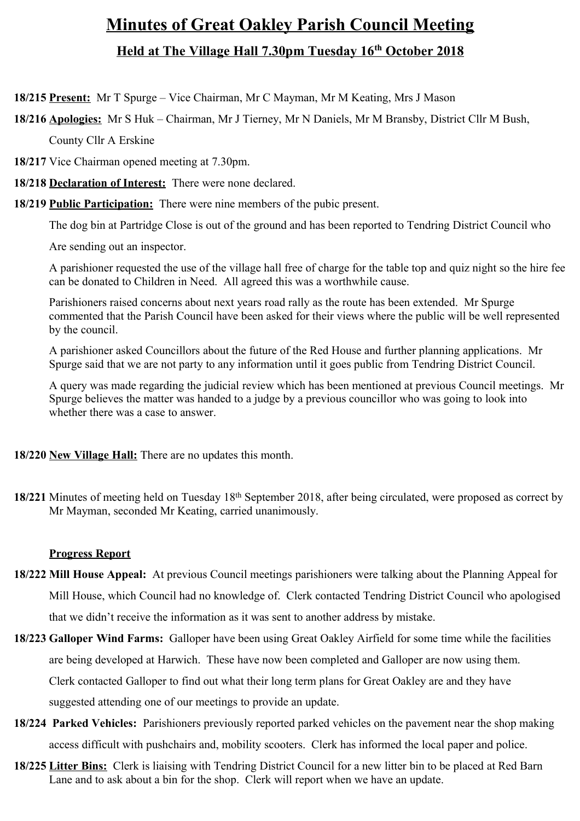# **Minutes of Great Oakley Parish Council Meeting Held at The Village Hall 7.30pm Tuesday 16th October 2018**

**18/215 Present:** Mr T Spurge – Vice Chairman, Mr C Mayman, Mr M Keating, Mrs J Mason

**18/216 Apologies:** Mr S Huk – Chairman, Mr J Tierney, Mr N Daniels, Mr M Bransby, District Cllr M Bush,

County Cllr A Erskine

**18/217** Vice Chairman opened meeting at 7.30pm.

**18/218 Declaration of Interest:** There were none declared.

**18/219 Public Participation:** There were nine members of the pubic present.

The dog bin at Partridge Close is out of the ground and has been reported to Tendring District Council who

Are sending out an inspector.

A parishioner requested the use of the village hall free of charge for the table top and quiz night so the hire fee can be donated to Children in Need. All agreed this was a worthwhile cause.

Parishioners raised concerns about next years road rally as the route has been extended. Mr Spurge commented that the Parish Council have been asked for their views where the public will be well represented by the council.

A parishioner asked Councillors about the future of the Red House and further planning applications. Mr Spurge said that we are not party to any information until it goes public from Tendring District Council.

A query was made regarding the judicial review which has been mentioned at previous Council meetings. Mr Spurge believes the matter was handed to a judge by a previous councillor who was going to look into whether there was a case to answer.

**18/220 New Village Hall:** There are no updates this month.

**18/221** Minutes of meeting held on Tuesday 18th September 2018, after being circulated, were proposed as correct by Mr Mayman, seconded Mr Keating, carried unanimously.

# **Progress Report**

- **18/222 Mill House Appeal:** At previous Council meetings parishioners were talking about the Planning Appeal for Mill House, which Council had no knowledge of. Clerk contacted Tendring District Council who apologised that we didn't receive the information as it was sent to another address by mistake.
- **18/223 Galloper Wind Farms:** Galloper have been using Great Oakley Airfield for some time while the facilities are being developed at Harwich. These have now been completed and Galloper are now using them. Clerk contacted Galloper to find out what their long term plans for Great Oakley are and they have suggested attending one of our meetings to provide an update.
- **18/224 Parked Vehicles:** Parishioners previously reported parked vehicles on the pavement near the shop making access difficult with pushchairs and, mobility scooters. Clerk has informed the local paper and police.
- **18/225 Litter Bins:** Clerk is liaising with Tendring District Council for a new litter bin to be placed at Red Barn Lane and to ask about a bin for the shop. Clerk will report when we have an update.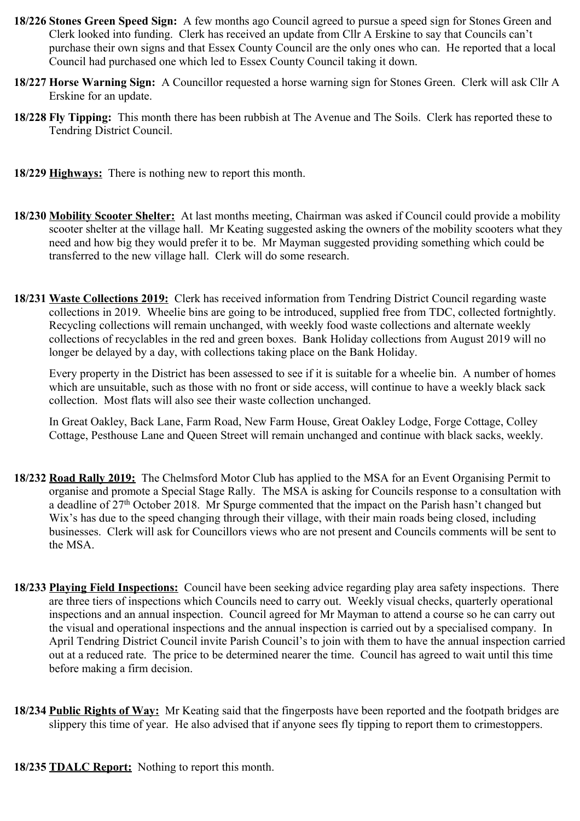- **18/226 Stones Green Speed Sign:** A few months ago Council agreed to pursue a speed sign for Stones Green and Clerk looked into funding. Clerk has received an update from Cllr A Erskine to say that Councils can't purchase their own signs and that Essex County Council are the only ones who can. He reported that a local Council had purchased one which led to Essex County Council taking it down.
- **18/227 Horse Warning Sign:** A Councillor requested a horse warning sign for Stones Green. Clerk will ask Cllr A Erskine for an update.
- **18/228 Fly Tipping:** This month there has been rubbish at The Avenue and The Soils. Clerk has reported these to Tendring District Council.
- **18/229 Highways:** There is nothing new to report this month.
- **18/230 Mobility Scooter Shelter:** At last months meeting, Chairman was asked if Council could provide a mobility scooter shelter at the village hall. Mr Keating suggested asking the owners of the mobility scooters what they need and how big they would prefer it to be. Mr Mayman suggested providing something which could be transferred to the new village hall. Clerk will do some research.
- **18/231 Waste Collections 2019:** Clerk has received information from Tendring District Council regarding waste collections in 2019. Wheelie bins are going to be introduced, supplied free from TDC, collected fortnightly. Recycling collections will remain unchanged, with weekly food waste collections and alternate weekly collections of recyclables in the red and green boxes. Bank Holiday collections from August 2019 will no longer be delayed by a day, with collections taking place on the Bank Holiday.

Every property in the District has been assessed to see if it is suitable for a wheelie bin. A number of homes which are unsuitable, such as those with no front or side access, will continue to have a weekly black sack collection. Most flats will also see their waste collection unchanged.

In Great Oakley, Back Lane, Farm Road, New Farm House, Great Oakley Lodge, Forge Cottage, Colley Cottage, Pesthouse Lane and Queen Street will remain unchanged and continue with black sacks, weekly.

- **18/232 Road Rally 2019:** The Chelmsford Motor Club has applied to the MSA for an Event Organising Permit to organise and promote a Special Stage Rally. The MSA is asking for Councils response to a consultation with a deadline of 27th October 2018. Mr Spurge commented that the impact on the Parish hasn't changed but Wix's has due to the speed changing through their village, with their main roads being closed, including businesses. Clerk will ask for Councillors views who are not present and Councils comments will be sent to the MSA.
- **18/233 Playing Field Inspections:** Council have been seeking advice regarding play area safety inspections. There are three tiers of inspections which Councils need to carry out. Weekly visual checks, quarterly operational inspections and an annual inspection. Council agreed for Mr Mayman to attend a course so he can carry out the visual and operational inspections and the annual inspection is carried out by a specialised company. In April Tendring District Council invite Parish Council's to join with them to have the annual inspection carried out at a reduced rate. The price to be determined nearer the time. Council has agreed to wait until this time before making a firm decision.
- **18/234 Public Rights of Way:** Mr Keating said that the fingerposts have been reported and the footpath bridges are slippery this time of year. He also advised that if anyone sees fly tipping to report them to crimestoppers.
- **18/235 TDALC Report:** Nothing to report this month.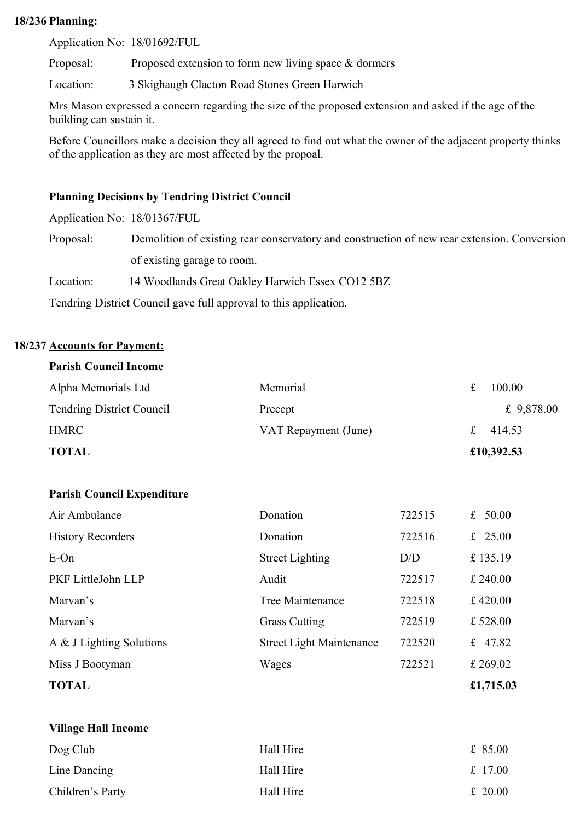#### **18/236 Planning:**

Application No: 18/01692/FUL

Proposal: Proposed extension to form new living space & dormers

Location: 3 Skighaugh Clacton Road Stones Green Harwich

Mrs Mason expressed a concern regarding the size of the proposed extension and asked if the age of the building can sustain it.

Before Councillors make a decision they all agreed to find out what the owner of the adjacent property thinks of the application as they are most affected by the propoal.

## **Planning Decisions by Tendring District Council**

Application No: 18/01367/FUL

Proposal: Demolition of existing rear conservatory and construction of new rear extension. Conversion of existing garage to room.

Location: 14 Woodlands Great Oakley Harwich Essex CO12 5BZ

Tendring District Council gave full approval to this application.

## **18/237 Accounts for Payment:**

#### **Parish Council Income**

| Alpha Memorials Ltd              | Memorial             |   | 100.00       |
|----------------------------------|----------------------|---|--------------|
| <b>Tendring District Council</b> | Precept              |   | £ $9,878.00$ |
| <b>HMRC</b>                      | VAT Repayment (June) | £ | 414.53       |
| <b>TOTAL</b>                     |                      |   | £10,392.53   |

#### **Parish Council Expenditure**

| <b>TOTAL</b>             |                                 |        | £1,715.03 |
|--------------------------|---------------------------------|--------|-----------|
| Miss J Bootyman          | Wages                           | 722521 | £ 269.02  |
| A & J Lighting Solutions | <b>Street Light Maintenance</b> | 722520 | £ 47.82   |
| Marvan's                 | <b>Grass Cutting</b>            | 722519 | £528.00   |
| Marvan's                 | Tree Maintenance                | 722518 | £ 420.00  |
| PKF LittleJohn LLP       | Audit                           | 722517 | £ 240.00  |
| $E$ -On                  | <b>Street Lighting</b>          | D/D    | £135.19   |
| <b>History Recorders</b> | Donation                        | 722516 | £ 25.00   |
| Air Ambulance            | Donation                        | 722515 | £ $50.00$ |

| <b>Village Hall Income</b> |           |           |
|----------------------------|-----------|-----------|
| Dog Club                   | Hall Hire | £ $85.00$ |
| Line Dancing               | Hall Hire | £ 17.00   |
| Children's Party           | Hall Hire | £ 20.00   |